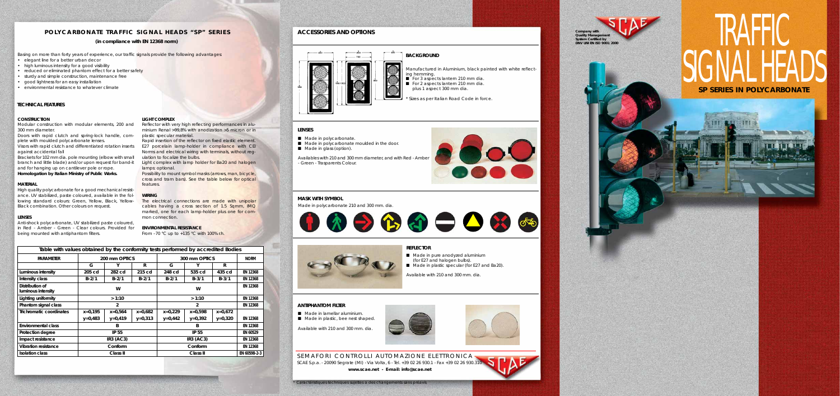SEMAFORI CONTROLLI AUTOMAZIONE ELETTRONICA SCAE S.p.a. - 20090 Segrate (MI) - Via Volta, 6 - Tel. +39 02 26 930.1 - Fax +39 02 26 930.310 **www.scae.net - E-mail: info@scae.net**

# **IKAFFIL** SIGNAL HEADS **SP SERIES IN POLYCARBONATE**

\* Caractéristiques techniques sujettes a des changements sans préavis



# **POLYCARBONATE TRAFFIC SIGNAL HEADS "SP" SERIES ACCESSORIES AND OPTIONS**

# **LENSES**

- Made in polycarbonate.
- Made in polycarbonate moulded in the door.
- Made in glass (option).

# **MASK WITH SYMBOL**



# **TECHNICAL FEATURES**

# **CONSTRUCTION**

Modular construction with modular elements, 200 and 300 mm diameter.

Doors with rapid clutch and spring-lock handle, complete with moulded polycarbonate lenses.

Visors with rapid clutch and differentiated rotation inserts against accidental fall

Brackets for 102 mm dia. pole mounting (elbow with small branch and little blade) and/or upon request for band-it and for hanging up on cantilever pole or rope. **Homologation by Italian Ministry of Public Works.**

# **MATERIAL**

The electrical connections are made with unipolar cables having a cross section of 1.5 Sqmm, IMQ marked, one for each lamp-holder plus one for common connection.

High quality polycarbonate for a good mechanical resistance. UV stabilized, paste coloured, available in the following standard colours: Green, Yellow, Black, Yellow-Black combination. Other colours on request.

# **LENSES**

Anti-shock polycarbonate, UV stabilized paste coloured, in Red - Amber - Green - Clear colours. Provided for being mounted with antiphantom filters.

# **LIGHT COMPLEX**

Reflector with very high reflecting performances in aluminium Renal >99,8% with anodization >5 micron or in plastic specular material.

Rapid insertion of the reflector on fixed elastic element. E27 porcelain lamp-holder in compliance with CEI Norms and electrical wiring with terminals, without regulation to focalize the bulbs.

- Manufactured in Aluminium, black painted with white reflect-
- For 3 aspects lantern 210 mm dia.
- For 2 aspects lantern 210 mm dia. plus 1 aspect 300 mm dia.
	-
- Sizes as per Italian Road Code in force.



Light complex with lamp holder for Ba20 and halogen lamps: optional.

Possibility to mount symbol masks (arrows, man, bicycle, cross and tram bars). See the table below for optical features.

## **WIRING**



- Made in pure anodyzed aluminium (for E27 and halogen bulbs). ■ Made in plastic specular (for E27 and Ba20).
- Available with 210 and 300 mm. dia.



# **ENVIRONMENTAL RESISTANCE**

From –70 °C up to +135 °C with 100% r.h.

| Table with values obtained by the conformity tests performed by accredited Bodies |                  |              |           |                  |           |           |              |
|-----------------------------------------------------------------------------------|------------------|--------------|-----------|------------------|-----------|-----------|--------------|
| <b>PARAMETER</b>                                                                  | 200 mm OPTICS    |              |           | 300 mm OPTICS    |           |           | <b>NORM</b>  |
|                                                                                   | G                | Υ            | R         | G                | Y         | R         |              |
| Luminous intensity                                                                | 205 cd           | 282 cd       | 215 cd    | 248 cd           | 535 cd    | 435 cd    | EN 12368     |
| Intensity class                                                                   | $B - 2/1$        | $B - 2/1$    | $B - 2/1$ | $B - 2/1$        | $B - 3/1$ | $B - 3/1$ | EN 12368     |
| Distribution of<br>luminous intensity                                             |                  | W            |           | w                |           |           | EN 12368     |
| Lighting uniformity                                                               | >1:10            |              |           | >1:10            |           |           | EN 12368     |
| Phantom signal class                                                              | $\overline{2}$   |              |           | $\overline{2}$   |           |           | EN 12368     |
| Trichromatic coordinates                                                          | $x=0,195$        | $x=0,564$    | $x=0.682$ | $x=0.229$        | $x=0.598$ | $x=0.672$ |              |
|                                                                                   | $y=0,483$        | $y=0,419$    | $y=0,313$ | $y=0,442$        | $y=0,392$ | $y=0,320$ | EN 12368     |
| Environmental class                                                               | B                |              |           | B                |           |           | EN 12368     |
| Protection degree                                                                 |                  | <b>IP 55</b> |           | <b>IP 55</b>     |           |           | EN 60529     |
| Impact resistance                                                                 | <b>IR3 (AC3)</b> |              |           | <b>IR3 (AC3)</b> |           |           | EN 12368     |
| <b>Vibration resistance</b>                                                       | Conform          |              |           | Conform          |           |           | EN 12368     |
| <b>Isolation class</b>                                                            | Class II         |              |           | Class II         |           |           | EN 60598-2-3 |

# **(in compliance with EN 12368 norm)**

Basing on more than forty years of experience, our traffic signals provide the following advantages:

- elegant line for a better urban decor
- high luminous intensity for a good visibility
- reduced or eliminated phantom effect for a better safety
- sturdy and simple construction, maintenance free
- good lightness for an easy installation
- environmental resistance to whatever climate

Availables with 210 and 300 mm diameter, and with Red - Amber - Green - Trasparents Colour.

Made in polycarbonate 210 and 300 mm. dia.



Available with 210 and 300 mm. dia.



# **ANTIPHANTOM FILTER**

- Made in lamellar aluminium.
- Made in plastic, bee nest shaped.